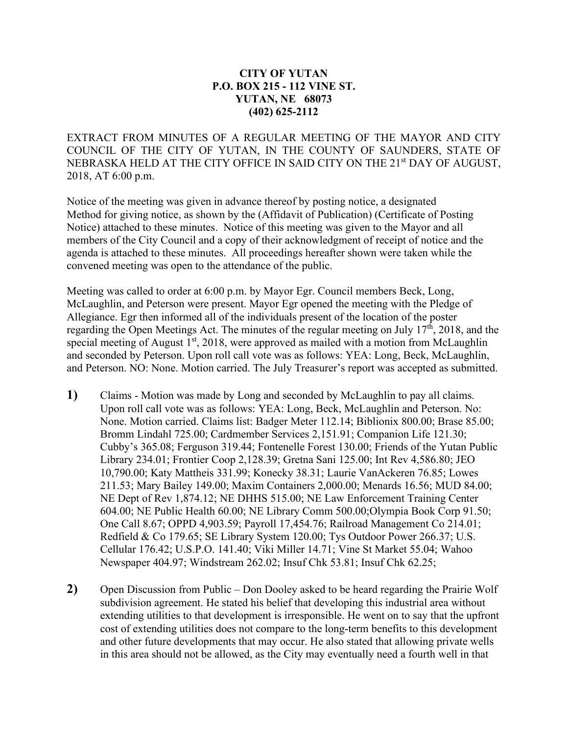## **CITY OF YUTAN P.O. BOX 215 - 112 VINE ST. YUTAN, NE 68073 (402) 625-2112**

EXTRACT FROM MINUTES OF A REGULAR MEETING OF THE MAYOR AND CITY COUNCIL OF THE CITY OF YUTAN, IN THE COUNTY OF SAUNDERS, STATE OF NEBRASKA HELD AT THE CITY OFFICE IN SAID CITY ON THE 21<sup>st</sup> DAY OF AUGUST, 2018, AT 6:00 p.m.

Notice of the meeting was given in advance thereof by posting notice, a designated Method for giving notice, as shown by the (Affidavit of Publication) (Certificate of Posting Notice) attached to these minutes. Notice of this meeting was given to the Mayor and all members of the City Council and a copy of their acknowledgment of receipt of notice and the agenda is attached to these minutes. All proceedings hereafter shown were taken while the convened meeting was open to the attendance of the public.

Meeting was called to order at 6:00 p.m. by Mayor Egr. Council members Beck, Long, McLaughlin, and Peterson were present. Mayor Egr opened the meeting with the Pledge of Allegiance. Egr then informed all of the individuals present of the location of the poster regarding the Open Meetings Act. The minutes of the regular meeting on July  $17<sup>th</sup>$ , 2018, and the special meeting of August  $1<sup>st</sup>$ , 2018, were approved as mailed with a motion from McLaughlin and seconded by Peterson. Upon roll call vote was as follows: YEA: Long, Beck, McLaughlin, and Peterson. NO: None. Motion carried. The July Treasurer's report was accepted as submitted.

- **1)** Claims Motion was made by Long and seconded by McLaughlin to pay all claims. Upon roll call vote was as follows: YEA: Long, Beck, McLaughlin and Peterson. No: None. Motion carried. Claims list: Badger Meter 112.14; Biblionix 800.00; Brase 85.00; Bromm Lindahl 725.00; Cardmember Services 2,151.91; Companion Life 121.30; Cubby's 365.08; Ferguson 319.44; Fontenelle Forest 130.00; Friends of the Yutan Public Library 234.01; Frontier Coop 2,128.39; Gretna Sani 125.00; Int Rev 4,586.80; JEO 10,790.00; Katy Mattheis 331.99; Konecky 38.31; Laurie VanAckeren 76.85; Lowes 211.53; Mary Bailey 149.00; Maxim Containers 2,000.00; Menards 16.56; MUD 84.00; NE Dept of Rev 1,874.12; NE DHHS 515.00; NE Law Enforcement Training Center 604.00; NE Public Health 60.00; NE Library Comm 500.00;Olympia Book Corp 91.50; One Call 8.67; OPPD 4,903.59; Payroll 17,454.76; Railroad Management Co 214.01; Redfield & Co 179.65; SE Library System 120.00; Tys Outdoor Power 266.37; U.S. Cellular 176.42; U.S.P.O. 141.40; Viki Miller 14.71; Vine St Market 55.04; Wahoo Newspaper 404.97; Windstream 262.02; Insuf Chk 53.81; Insuf Chk 62.25;
- **2)** Open Discussion from Public Don Dooley asked to be heard regarding the Prairie Wolf subdivision agreement. He stated his belief that developing this industrial area without extending utilities to that development is irresponsible. He went on to say that the upfront cost of extending utilities does not compare to the long-term benefits to this development and other future developments that may occur. He also stated that allowing private wells in this area should not be allowed, as the City may eventually need a fourth well in that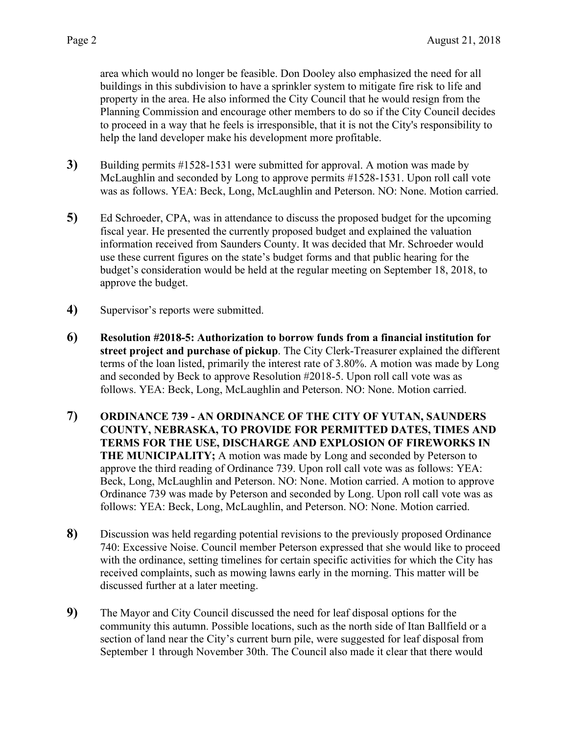area which would no longer be feasible. Don Dooley also emphasized the need for all buildings in this subdivision to have a sprinkler system to mitigate fire risk to life and property in the area. He also informed the City Council that he would resign from the Planning Commission and encourage other members to do so if the City Council decides to proceed in a way that he feels is irresponsible, that it is not the City's responsibility to help the land developer make his development more profitable.

- **3)** Building permits #1528-1531 were submitted for approval. A motion was made by McLaughlin and seconded by Long to approve permits #1528-1531. Upon roll call vote was as follows. YEA: Beck, Long, McLaughlin and Peterson. NO: None. Motion carried.
- **5)** Ed Schroeder, CPA, was in attendance to discuss the proposed budget for the upcoming fiscal year. He presented the currently proposed budget and explained the valuation information received from Saunders County. It was decided that Mr. Schroeder would use these current figures on the state's budget forms and that public hearing for the budget's consideration would be held at the regular meeting on September 18, 2018, to approve the budget.
- **4)** Supervisor's reports were submitted.
- **6) Resolution #2018-5: Authorization to borrow funds from a financial institution for street project and purchase of pickup**. The City Clerk-Treasurer explained the different terms of the loan listed, primarily the interest rate of 3.80%. A motion was made by Long and seconded by Beck to approve Resolution #2018-5. Upon roll call vote was as follows. YEA: Beck, Long, McLaughlin and Peterson. NO: None. Motion carried.
- **7) ORDINANCE 739 - AN ORDINANCE OF THE CITY OF YUTAN, SAUNDERS COUNTY, NEBRASKA, TO PROVIDE FOR PERMITTED DATES, TIMES AND TERMS FOR THE USE, DISCHARGE AND EXPLOSION OF FIREWORKS IN THE MUNICIPALITY;** A motion was made by Long and seconded by Peterson to approve the third reading of Ordinance 739. Upon roll call vote was as follows: YEA: Beck, Long, McLaughlin and Peterson. NO: None. Motion carried. A motion to approve Ordinance 739 was made by Peterson and seconded by Long. Upon roll call vote was as follows: YEA: Beck, Long, McLaughlin, and Peterson. NO: None. Motion carried.
- **8)** Discussion was held regarding potential revisions to the previously proposed Ordinance 740: Excessive Noise. Council member Peterson expressed that she would like to proceed with the ordinance, setting timelines for certain specific activities for which the City has received complaints, such as mowing lawns early in the morning. This matter will be discussed further at a later meeting.
- **9)** The Mayor and City Council discussed the need for leaf disposal options for the community this autumn. Possible locations, such as the north side of Itan Ballfield or a section of land near the City's current burn pile, were suggested for leaf disposal from September 1 through November 30th. The Council also made it clear that there would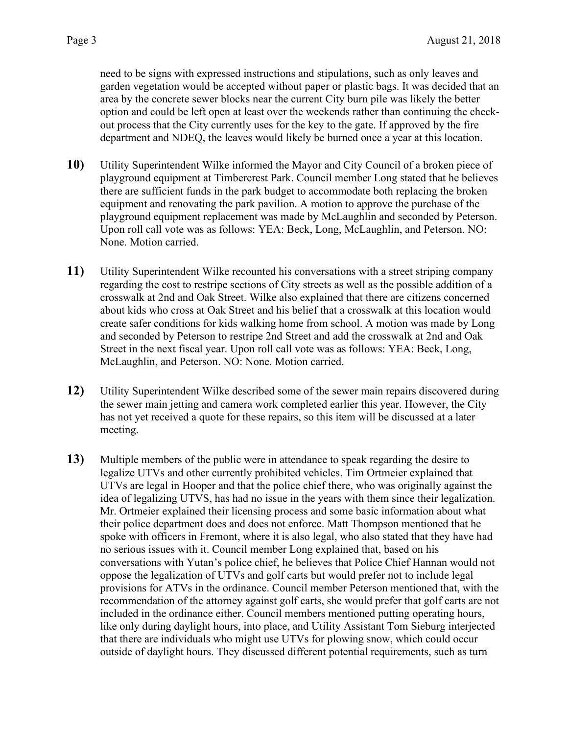need to be signs with expressed instructions and stipulations, such as only leaves and garden vegetation would be accepted without paper or plastic bags. It was decided that an area by the concrete sewer blocks near the current City burn pile was likely the better option and could be left open at least over the weekends rather than continuing the checkout process that the City currently uses for the key to the gate. If approved by the fire department and NDEQ, the leaves would likely be burned once a year at this location.

- **10)** Utility Superintendent Wilke informed the Mayor and City Council of a broken piece of playground equipment at Timbercrest Park. Council member Long stated that he believes there are sufficient funds in the park budget to accommodate both replacing the broken equipment and renovating the park pavilion. A motion to approve the purchase of the playground equipment replacement was made by McLaughlin and seconded by Peterson. Upon roll call vote was as follows: YEA: Beck, Long, McLaughlin, and Peterson. NO: None. Motion carried.
- **11)** Utility Superintendent Wilke recounted his conversations with a street striping company regarding the cost to restripe sections of City streets as well as the possible addition of a crosswalk at 2nd and Oak Street. Wilke also explained that there are citizens concerned about kids who cross at Oak Street and his belief that a crosswalk at this location would create safer conditions for kids walking home from school. A motion was made by Long and seconded by Peterson to restripe 2nd Street and add the crosswalk at 2nd and Oak Street in the next fiscal year. Upon roll call vote was as follows: YEA: Beck, Long, McLaughlin, and Peterson. NO: None. Motion carried.
- **12)** Utility Superintendent Wilke described some of the sewer main repairs discovered during the sewer main jetting and camera work completed earlier this year. However, the City has not yet received a quote for these repairs, so this item will be discussed at a later meeting.
- **13)** Multiple members of the public were in attendance to speak regarding the desire to legalize UTVs and other currently prohibited vehicles. Tim Ortmeier explained that UTVs are legal in Hooper and that the police chief there, who was originally against the idea of legalizing UTVS, has had no issue in the years with them since their legalization. Mr. Ortmeier explained their licensing process and some basic information about what their police department does and does not enforce. Matt Thompson mentioned that he spoke with officers in Fremont, where it is also legal, who also stated that they have had no serious issues with it. Council member Long explained that, based on his conversations with Yutan's police chief, he believes that Police Chief Hannan would not oppose the legalization of UTVs and golf carts but would prefer not to include legal provisions for ATVs in the ordinance. Council member Peterson mentioned that, with the recommendation of the attorney against golf carts, she would prefer that golf carts are not included in the ordinance either. Council members mentioned putting operating hours, like only during daylight hours, into place, and Utility Assistant Tom Sieburg interjected that there are individuals who might use UTVs for plowing snow, which could occur outside of daylight hours. They discussed different potential requirements, such as turn